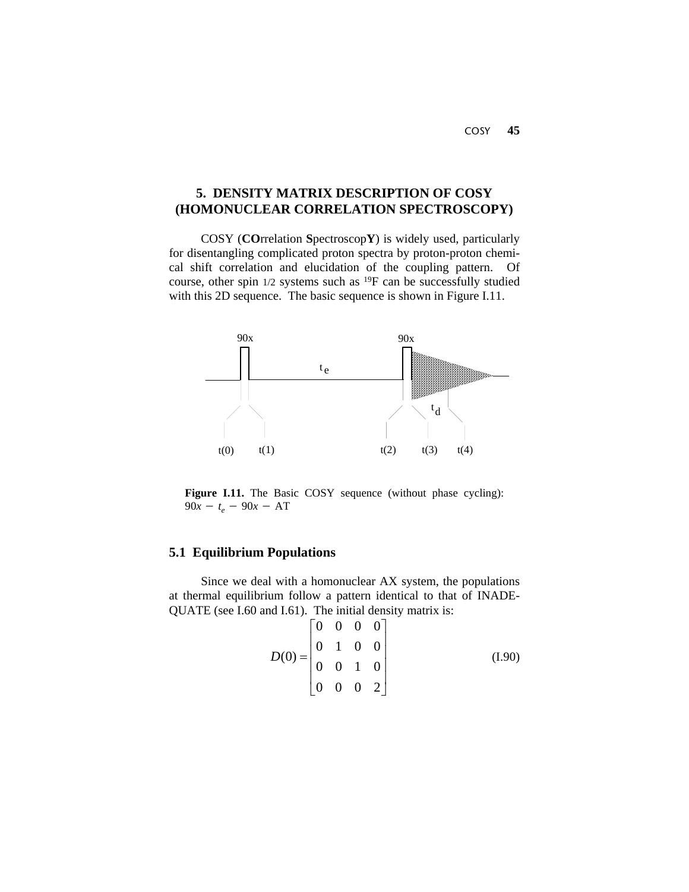COSY **45**

# **5. DENSITY MATRIX DESCRIPTION OF COSY (HOMONUCLEAR CORRELATION SPECTROSCOPY)**

 COSY (**CO**rrelation **S**pectroscop**Y**) is widely used, particularly for disentangling complicated proton spectra by proton-proton chemical shift correlation and elucidation of the coupling pattern. Of course, other spin 1/2 systems such as 19F can be successfully studied with this 2D sequence. The basic sequence is shown in Figure I.11.



Figure I.11. The Basic COSY sequence (without phase cycling):  $90x - t_e - 90x - AT$ 

# **5.1 Equilibrium Populations**

Since we deal with a homonuclear AX system, the populations at thermal equilibrium follow a pattern identical to that of INADE-QUATE (see I.60 and I.61). The initial density matrix is:

$$
D(0) = \begin{bmatrix} 0 & 0 & 0 & 0 \\ 0 & 1 & 0 & 0 \\ 0 & 0 & 1 & 0 \\ 0 & 0 & 0 & 2 \end{bmatrix}
$$
 (I.90)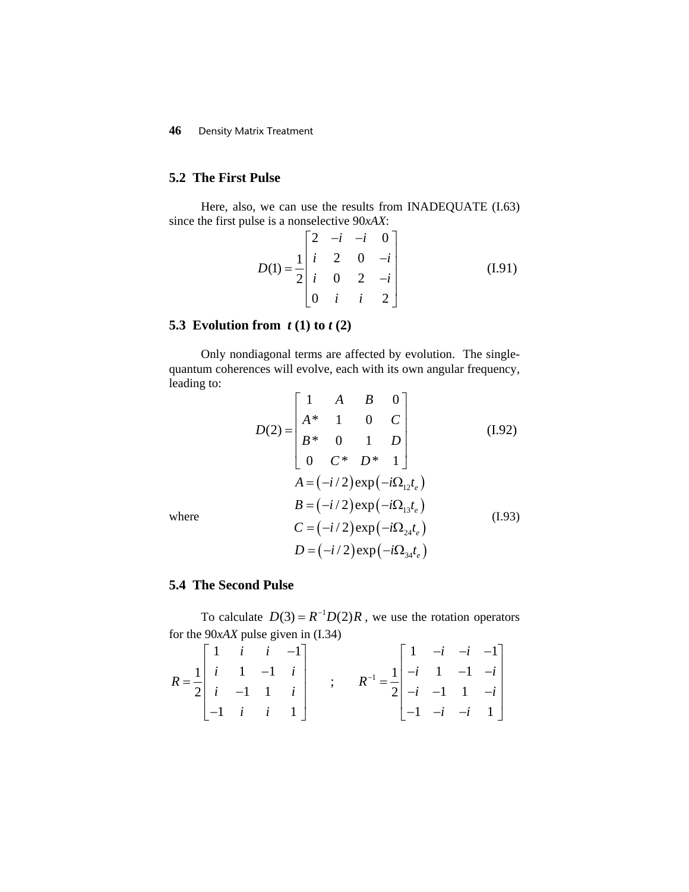## **5.2 The First Pulse**

Here, also, we can use the results from INADEQUATE (I.63) since the first pulse is a nonselective 90*xAX*:

$$
D(1) = \frac{1}{2} \begin{bmatrix} 2 & -i & -i & 0 \\ i & 2 & 0 & -i \\ i & 0 & 2 & -i \\ 0 & i & i & 2 \end{bmatrix}
$$
 (I.91)

# **5.3 Evolution from** *t* **(1) to** *t* **(2)**

Only nondiagonal terms are affected by evolution. The singlequantum coherences will evolve, each with its own angular frequency, leading to:

$$
D(2) = \begin{bmatrix} 1 & A & B & 0 \\ A^* & 1 & 0 & C \\ B^* & 0 & 1 & D \\ 0 & C^* & D^* & 1 \end{bmatrix}
$$
(I.92)  

$$
A = (-i/2) \exp(-i\Omega_{12}t_e)
$$
  

$$
B = (-i/2) \exp(-i\Omega_{13}t_e)
$$
  

$$
C = (-i/2) \exp(-i\Omega_{24}t_e)
$$
(I.93)  

$$
D = (-i/2) \exp(-i\Omega_{34}t_e)
$$

where

### **5.4 The Second Pulse**

To calculate  $D(3) = R^{-1}D(2)R$ , we use the rotation operators for the 90*xAX* pulse given in (I.34)

$$
R = \frac{1}{2} \begin{bmatrix} 1 & i & i & -1 \\ i & 1 & -1 & i \\ i & -1 & 1 & i \\ -1 & i & i & 1 \end{bmatrix} \qquad ; \qquad R^{-1} = \frac{1}{2} \begin{bmatrix} 1 & -i & -i & -1 \\ -i & 1 & -1 & -i \\ -i & -1 & 1 & -i \\ -1 & -i & -i & 1 \end{bmatrix}
$$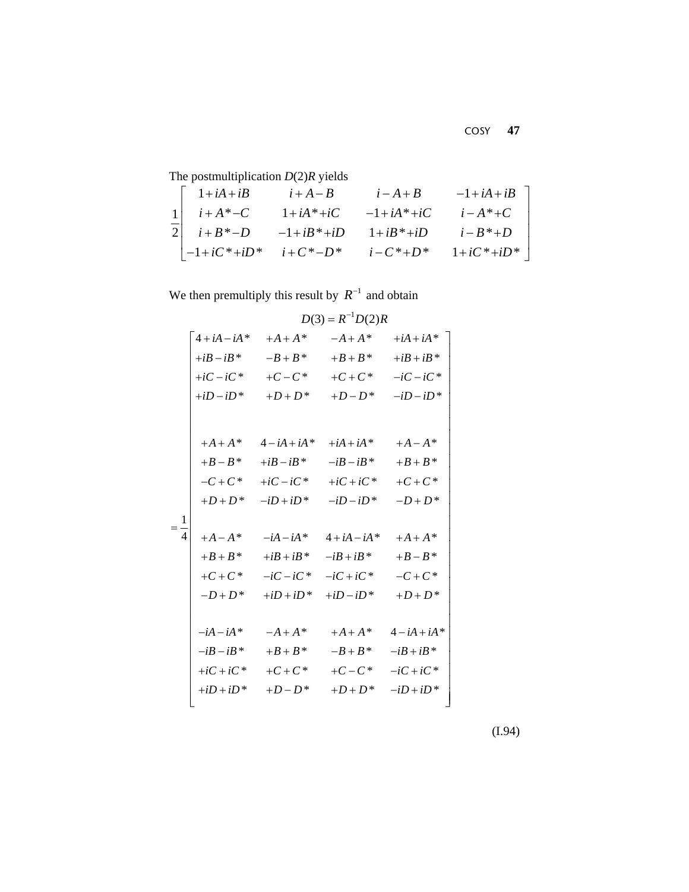The postmultiplication *D*(2)*R* yields

| $1+iA+iB$                  | $i+A-B$         | $i - A + B$     | $-1+iA+iB$        |
|----------------------------|-----------------|-----------------|-------------------|
| $i + A^* - C$              | $1+iA^*+iC$     | $-1+iA^*+iC$    | $i - A^* + C$     |
| $i + B^* - D$              | $-1+iB^*+iD$    | $1+iB^*+iD$     | $i-B^*+D$         |
| $\vert -1+iC^*+iD^* \vert$ | $i + C^* - D^*$ | $i - C^* + D^*$ | $1 + iC^* + iD^*$ |

We then premultiply this result by  $R^{-1}$  and obtain

|                |                 |              | $D(3) = R^{-1}D(2)R$ |              |
|----------------|-----------------|--------------|----------------------|--------------|
|                | $4 + iA - iA^*$ | $+A+A*$      | $-A+A^*$             | $+iA+iA^*$   |
|                | $+iB-iB*$       | $-B+B^*$     | $+B+B^*$             | $+iB+iB^*$   |
|                | $+iC - iC^*$    | $+C-C^*$     | $+C+C^*$             | $-iC - iC^*$ |
|                | $+iD-iD^*$      | $+D+D^*$     | $+D-D^*$             | $-iD - iD^*$ |
|                |                 |              |                      |              |
|                | $+A+A*$         | $4-iA+iA*$   | $+iA+iA^*$           | $+A-A^*$     |
|                | $+B-B^*$        | $+iB-iB^*$   | $-iB - iB^*$         | $+B+B*$      |
|                | $-C+C^*$        | $+iC-iC^*$   | $+iC+iC^*$           | $+C+C^*$     |
|                | $+D+D^*$        | $-iD+iD^*$   | $-iD - iD^*$         | $-D+D^*$     |
|                |                 |              |                      |              |
| $=\frac{1}{4}$ | $+A-A^*$        | $-iA - iA^*$ | $4 + iA - iA^*$      | $+A+A^*$     |
|                | $+B+B*$         | $+iB+iB^*$   | $-iB+iB^*$           | $+B-B*$      |
|                | $+C+C^*$        | $-iC - iC^*$ | $-iC+iC^*$           | $-C + C^*$   |
|                | $-D+D^*$        | $+iD+iD^*$   | $+iD - iD^*$         | $+D+D^*$     |
|                |                 |              |                      |              |
|                | $-iA - iA^*$    | $-A+A^*$     | $+A+A^*$             | $4-iA+iA*$   |
|                | $-iB - iB^*$    | $+B+B^*$     | $-B+B^*$             | $-iB+iB^*$   |
|                | $+iC+iC^*$      | $+C+C^*$     | $+C-C^*$             | $-iC+iC^*$   |
|                | $+iD+iD^*$      | $+D-D^*$     | $+D+D^*$             | $-iD+iD^*$   |
|                |                 |              |                      |              |

(I.94)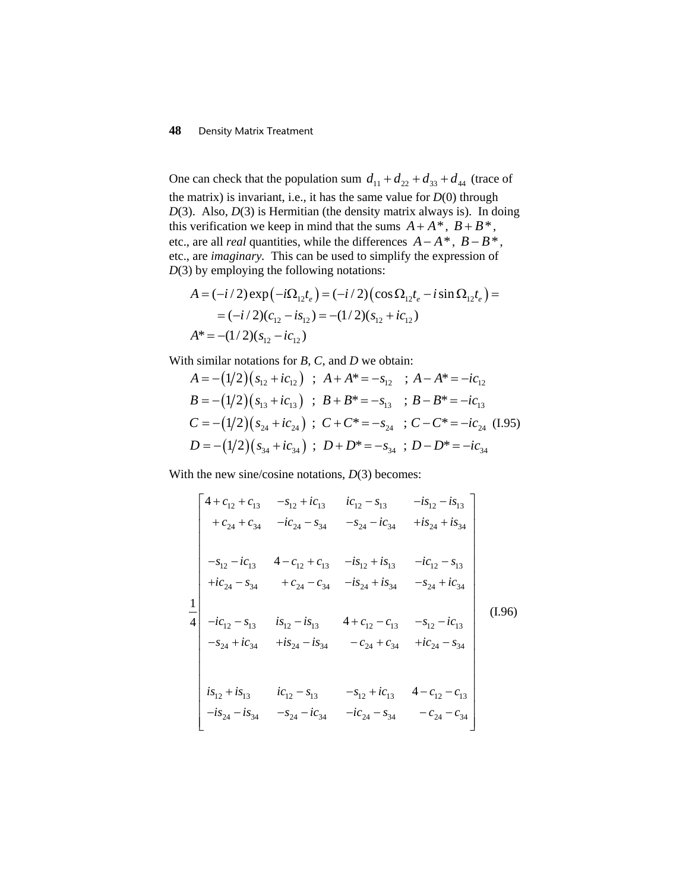One can check that the population sum  $d_{11} + d_{22} + d_{33} + d_{44}$  (trace of the matrix) is invariant, i.e., it has the same value for  $D(0)$  through *D*(3). Also, *D*(3) is Hermitian (the density matrix always is). In doing this verification we keep in mind that the sums  $A + A^*$ ,  $B + B^*$ , etc., are all *real* quantities, while the differences  $A - A^*$ ,  $B - B^*$ , etc., are *imaginary.* This can be used to simplify the expression of *D*(3) by employing the following notations:

$$
A = (-i/2) \exp(-i\Omega_{12}t_e) = (-i/2) (\cos \Omega_{12}t_e - i \sin \Omega_{12}t_e) =
$$
  
= (-i/2)(c<sub>12</sub> - is<sub>12</sub>) = -(1/2)(s<sub>12</sub> + ic<sub>12</sub>)  

$$
A^* = -(1/2)(s12 - ic12)
$$

With similar notations for *B*, *C*, and *D* we obtain:

$$
A = -(1/2)(s_{12} + ic_{12}) \; ; \; A + A^* = -s_{12} \; ; \; A - A^* = -ic_{12}
$$
\n
$$
B = -(1/2)(s_{13} + ic_{13}) \; ; \; B + B^* = -s_{13} \; ; \; B - B^* = -ic_{13}
$$
\n
$$
C = -(1/2)(s_{24} + ic_{24}) \; ; \; C + C^* = -s_{24} \; ; \; C - C^* = -ic_{24} \; (1.95)
$$
\n
$$
D = -(1/2)(s_{34} + ic_{34}) \; ; \; D + D^* = -s_{34} \; ; \; D - D^* = -ic_{34}
$$

With the new sine/cosine notations,  $D(3)$  becomes:

$$
\begin{vmatrix}\n4 + c_{12} + c_{13} & -s_{12} + ic_{13} & ic_{12} - s_{13} & -is_{12} - is_{13} \\
+c_{24} + c_{34} & -ic_{24} - s_{34} & -s_{24} - ic_{34} & +is_{24} + is_{34} \\
-s_{12} - ic_{13} & 4 - c_{12} + c_{13} & -is_{12} + is_{13} & -ic_{12} - s_{13} \\
+ic_{24} - s_{34} & +c_{24} - c_{34} & -is_{24} + is_{34} & -s_{24} + ic_{34} \\
-ic_{12} - s_{13} & is_{12} - is_{13} & 4 + c_{12} - c_{13} & -s_{12} - ic_{13} \\
-s_{24} + ic_{34} & +is_{24} - is_{34} & -c_{24} + c_{34} & +ic_{24} - s_{34} \\
is_{12} + is_{13} & ic_{12} - s_{13} & -s_{12} + ic_{13} & 4 - c_{12} - c_{13} \\
-is_{24} - is_{34} & -s_{24} - ic_{34} & -ic_{24} - s_{34} & -c_{24} - c_{34}\n\end{vmatrix}
$$
\n(1.96)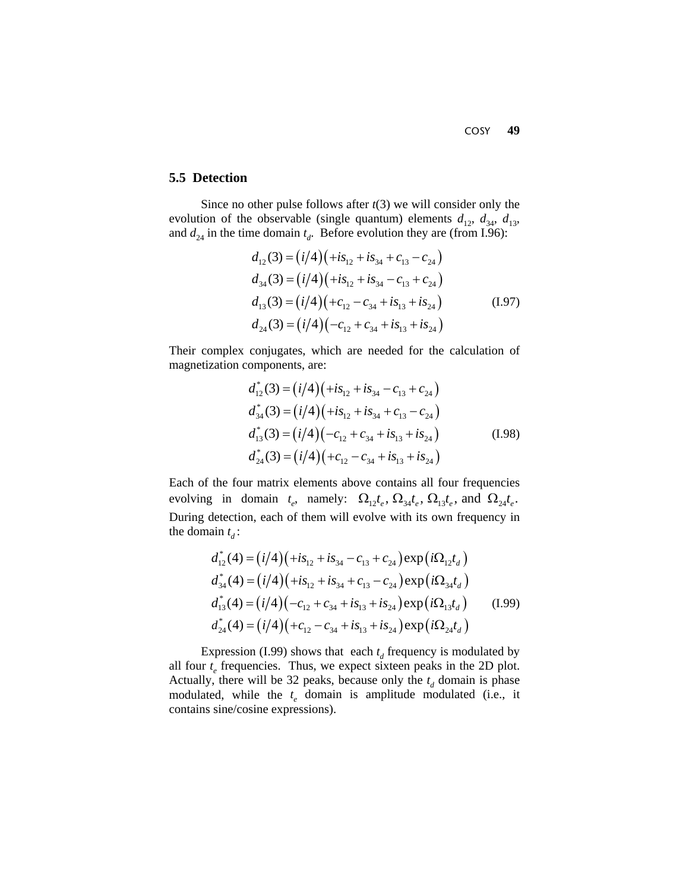COSY **49**

## **5.5 Detection**

Since no other pulse follows after *t*(3) we will consider only the evolution of the observable (single quantum) elements  $d_{12}$ ,  $d_{34}$ ,  $d_{13}$ , and  $d_{24}$  in the time domain  $t_d$ . Before evolution they are (from I.96):

$$
d_{12}(3) = (i/4)(+is_{12} + is_{34} + c_{13} - c_{24})
$$
  
\n
$$
d_{34}(3) = (i/4)(+is_{12} + is_{34} - c_{13} + c_{24})
$$
  
\n
$$
d_{13}(3) = (i/4)(+c_{12} - c_{34} + is_{13} + is_{24})
$$
  
\n
$$
d_{24}(3) = (i/4)(-c_{12} + c_{34} + is_{13} + is_{24})
$$
\n(I.97)

Their complex conjugates, which are needed for the calculation of magnetization components, are:

$$
d_{12}^*(3) = (i/4)(+is_{12} + is_{34} - c_{13} + c_{24})
$$
  
\n
$$
d_{34}^*(3) = (i/4)(+is_{12} + is_{34} + c_{13} - c_{24})
$$
  
\n
$$
d_{13}^*(3) = (i/4)(-c_{12} + c_{34} + is_{13} + is_{24})
$$
  
\n
$$
d_{24}^*(3) = (i/4)(+c_{12} - c_{34} + is_{13} + is_{24})
$$
\n(I.98)

Each of the four matrix elements above contains all four frequencies evolving in domain  $t_e$ , namely:  $\Omega_{12} t_e$ ,  $\Omega_{34} t_e$ ,  $\Omega_{13} t_e$ , and  $\Omega_{24} t_e$ . During detection, each of them will evolve with its own frequency in the domain  $t_d$ :

$$
d_{12}^{*}(4) = (i/4)(+is_{12} + is_{34} - c_{13} + c_{24}) \exp(i\Omega_{12}t_{d})
$$
  
\n
$$
d_{34}^{*}(4) = (i/4)(+is_{12} + is_{34} + c_{13} - c_{24}) \exp(i\Omega_{34}t_{d})
$$
  
\n
$$
d_{13}^{*}(4) = (i/4)(-c_{12} + c_{34} + is_{13} + is_{24}) \exp(i\Omega_{13}t_{d})
$$
  
\n
$$
d_{24}^{*}(4) = (i/4)(+c_{12} - c_{34} + is_{13} + is_{24}) \exp(i\Omega_{24}t_{d})
$$
\n(1.99)

Expression (I.99) shows that each  $t_d$  frequency is modulated by all four  $t_e$  frequencies. Thus, we expect sixteen peaks in the 2D plot. Actually, there will be 32 peaks, because only the  $t_d$  domain is phase modulated, while the  $t_e$  domain is amplitude modulated (i.e., it contains sine/cosine expressions).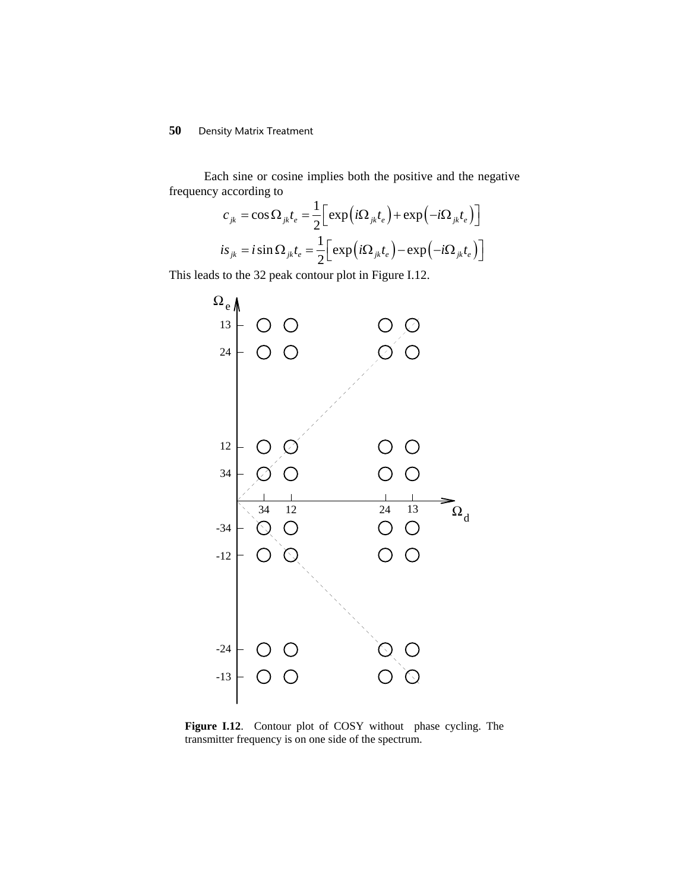Each sine or cosine implies both the positive and the negative frequency according to

$$
c_{jk} = \cos \Omega_{jk} t_e = \frac{1}{2} \Big[ \exp \Big(i \Omega_{jk} t_e \Big) + \exp \Big(-i \Omega_{jk} t_e \Big) \Big]
$$
  

$$
is_{jk} = i \sin \Omega_{jk} t_e = \frac{1}{2} \Big[ \exp \Big(i \Omega_{jk} t_e \Big) - \exp \Big(-i \Omega_{jk} t_e \Big) \Big]
$$

This leads to the 32 peak contour plot in Figure I.12.



**Figure I.12**. Contour plot of COSY without phase cycling. The transmitter frequency is on one side of the spectrum.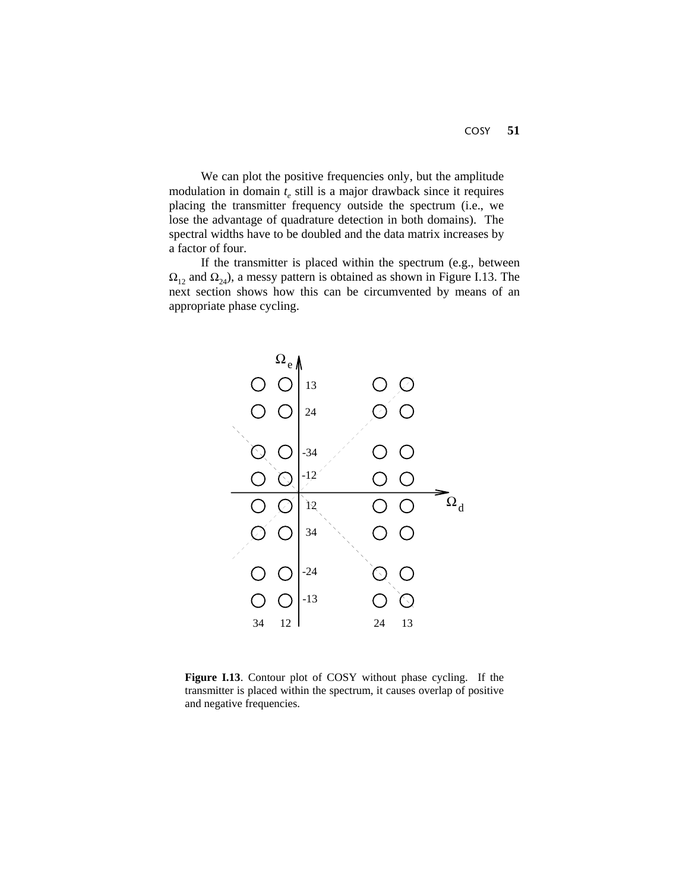We can plot the positive frequencies only, but the amplitude modulation in domain  $t_{e}$  still is a major drawback since it requires placing the transmitter frequency outside the spectrum (i.e., we lose the advantage of quadrature detection in both domains). The spectral widths have to be doubled and the data matrix increases by a factor of four.

If the transmitter is placed within the spectrum (e.g., between  $\Omega_{12}$  and  $\Omega_{24}$ ), a messy pattern is obtained as shown in Figure I.13. The next section shows how this can be circumvented by means of an appropriate phase cycling.



**Figure I.13**. Contour plot of COSY without phase cycling. If the transmitter is placed within the spectrum, it causes overlap of positive and negative frequencies.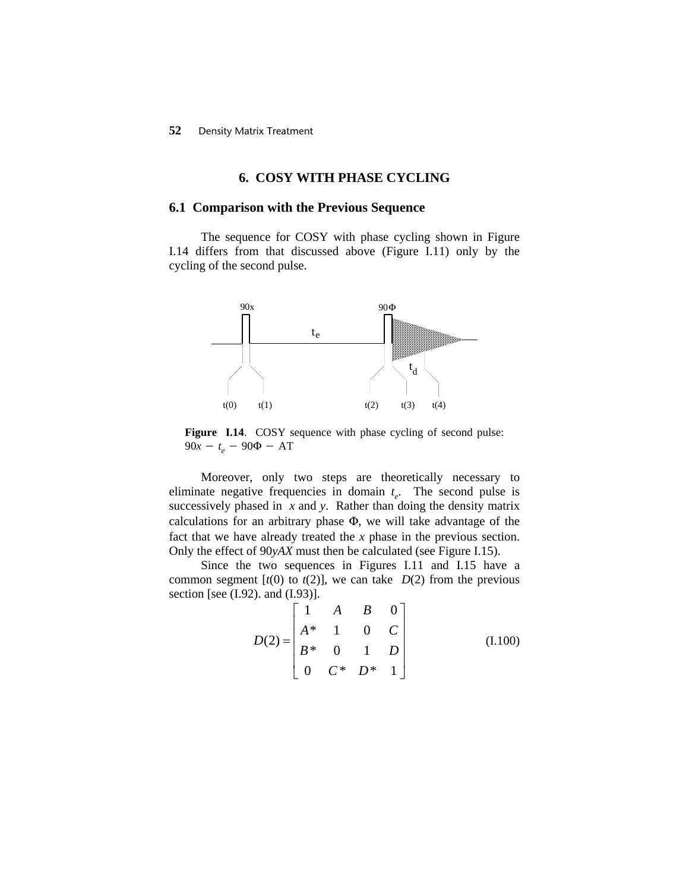#### **6. COSY WITH PHASE CYCLING**

#### **6.1 Comparison with the Previous Sequence**

The sequence for COSY with phase cycling shown in Figure I.14 differs from that discussed above (Figure I.11) only by the cycling of the second pulse.



**Figure I.14**. COSY sequence with phase cycling of second pulse:  $90x - t_e - 90\Phi - AT$ 

Moreover, only two steps are theoretically necessary to eliminate negative frequencies in domain  $t_e$ . The second pulse is successively phased in *x* and *y*. Rather than doing the density matrix calculations for an arbitrary phase  $\Phi$ , we will take advantage of the fact that we have already treated the *x* phase in the previous section. Only the effect of 90*yAX* must then be calculated (see Figure I.15).

Since the two sequences in Figures I.11 and I.15 have a common segment  $[t(0)$  to  $t(2)$ , we can take  $D(2)$  from the previous section [see (I.92). and (I.93)].

$$
D(2) = \begin{bmatrix} 1 & A & B & 0 \\ A^* & 1 & 0 & C \\ B^* & 0 & 1 & D \\ 0 & C^* & D^* & 1 \end{bmatrix}
$$
 (I.100)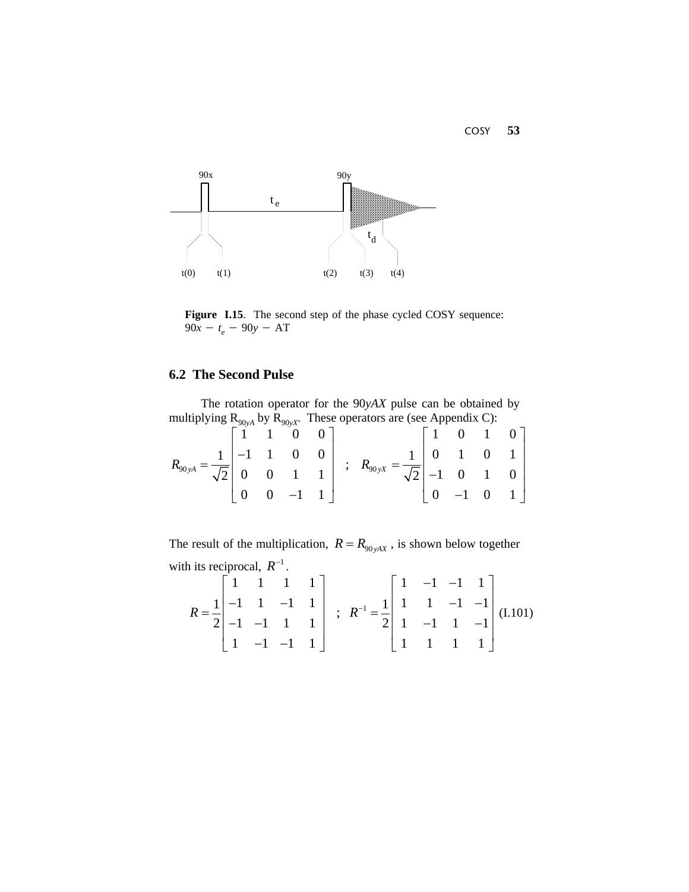

**Figure I.15**. The second step of the phase cycled COSY sequence:  $90x - t_e - 90y - AT$ 

# **6.2 The Second Pulse**

The rotation operator for the 90*yAX* pulse can be obtained by multiplying  $R_{90yA}$  by  $R_{90yX}$ . These operators are (see Appendix C):

|  |  | $R_{90yA} = \frac{1}{\sqrt{2}} \begin{bmatrix} 1 & 1 & 0 & 0 \\ -1 & 1 & 0 & 0 \\ 0 & 0 & 1 & 1 \\ 0 & 0 & -1 & 1 \end{bmatrix}$ ; $R_{90yX} = \frac{1}{\sqrt{2}} \begin{bmatrix} 1 & 0 & 1 & 0 \\ 0 & 1 & 0 & 1 \\ -1 & 0 & 1 & 0 \\ 0 & -1 & 0 & 1 \end{bmatrix}$ |  |
|--|--|---------------------------------------------------------------------------------------------------------------------------------------------------------------------------------------------------------------------------------------------------------------------|--|

The result of the multiplication,  $R = R_{90yAX}$ , is shown below together with its reciprocal,  $R^{-1}$ .

$$
R = \frac{1}{2} \begin{bmatrix} 1 & 1 & 1 & 1 \\ -1 & 1 & -1 & 1 \\ -1 & -1 & 1 & 1 \\ 1 & -1 & -1 & 1 \end{bmatrix} ; R^{-1} = \frac{1}{2} \begin{bmatrix} 1 & -1 & -1 & 1 \\ 1 & 1 & -1 & -1 \\ 1 & -1 & 1 & -1 \\ 1 & 1 & 1 & 1 \end{bmatrix} (1.101)
$$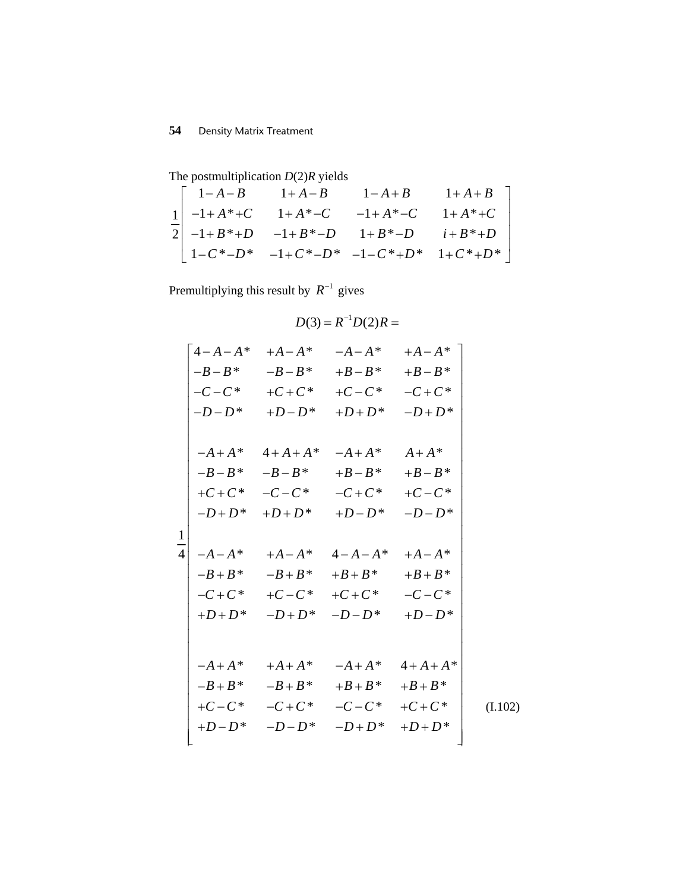The postmultiplication *D*(2)*R* yields

$$
\frac{1}{2} \begin{bmatrix} 1-A-B & 1+A+B & 1+A+B \\ -1+A^*+C & 1+A^*-C & -1+A^*-C & 1+A^*+C \\ -1+B^*+D & -1+B^*-D & 1+B^*-D & i+B^*+D \\ 1-C^*-D^* & -1+C^*-D^* & -1-C^*+D^* & 1+C^*+D^* \end{bmatrix}
$$

Premultiplying this result by  $R^{-1}$  gives

$$
D(3) = R^{-1}D(2)R =
$$

|                 |          | $4 - A - A^* + A - A^*$                      | $-A-A^*$ | $+A-A^*$      |         |
|-----------------|----------|----------------------------------------------|----------|---------------|---------|
|                 |          | $-B-B^*$ $-B-B^*$                            | $+B-B^*$ | $+B-B^*$      |         |
|                 |          | $-C-C^*$ +C+C <sup>*</sup> +C-C <sup>*</sup> |          | $-C+C^*$      |         |
|                 |          | $-D-D^*$ +D-D <sup>*</sup> +D+D <sup>*</sup> |          | $-D+D^*$      |         |
|                 |          |                                              |          |               |         |
|                 |          | $-A+A^*$ $4+A+A^*$                           | $-A+A^*$ | $A+A^*$       |         |
|                 |          | $-B-B^*$ $-B-B^*$                            | $+B-B^*$ | $+B-B*$       |         |
|                 |          | $+C + C^*$ $-C - C^*$                        | $-C+C^*$ | $+C-C^*$      |         |
|                 | $-D+D^*$ | $+D+D^*$                                     | $+D-D^*$ | $-D-D^*$      |         |
| $\mathbf{1}$    |          |                                              |          |               |         |
| $\vert 4 \vert$ |          | $-A-A^*$ $+A-A^*$ $4-A-A^*$                  |          | $+A-A^*$      |         |
|                 |          | $-B+B^*$ $-B+B^*$ $+B+B^*$                   |          | $+B+B*$       |         |
|                 |          | $-C + C^* + C - C^*$                         | $+C+C^*$ | $-C-C^*$      |         |
|                 | $+D+D^*$ | $-D+D^*$                                     | $-D-D^*$ | $+D-D*$       |         |
|                 |          |                                              |          |               |         |
|                 |          |                                              |          |               |         |
|                 | $-A+A^*$ | $+A+A^*$                                     | $-A+A^*$ | $4 + A + A^*$ |         |
|                 | $-B+B^*$ | $-B+B^*$                                     | $+B+B^*$ | $+B+B^*$      |         |
|                 | $+C-C^*$ | $-C+C^*$                                     | $-C-C^*$ | $+C+C^*$      | (I.102) |
|                 | $+D-D^*$ | $-D-D^*$                                     | $-D+D^*$ | $+D+D^*$      |         |
|                 |          |                                              |          |               |         |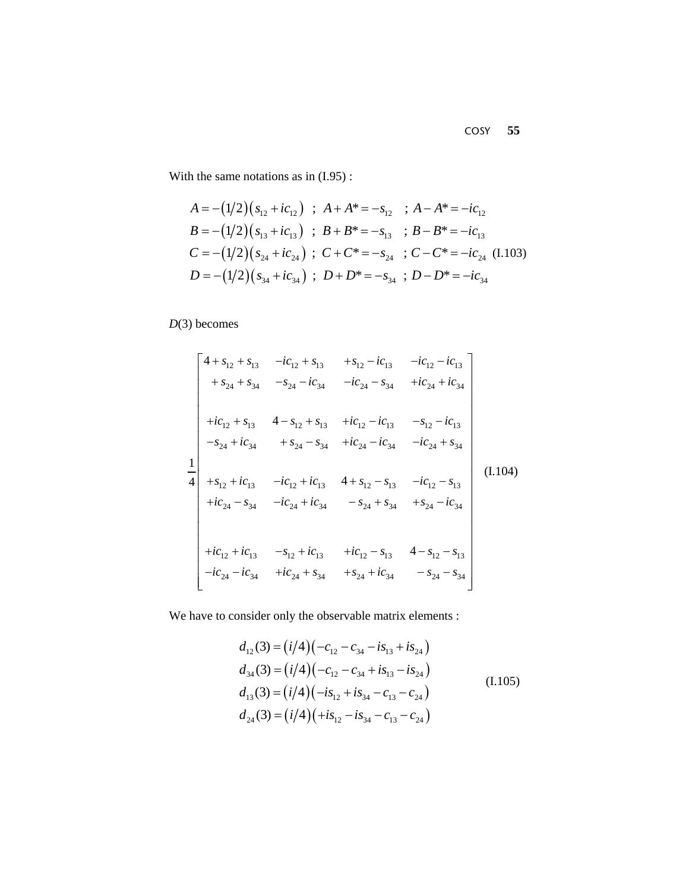With the same notations as in (I.95) :

$$
A = -(1/2)(s_{12} + ic_{12}) \; ; \; A + A^* = -s_{12} \; ; \; A - A^* = -ic_{12}
$$
\n
$$
B = -(1/2)(s_{13} + ic_{13}) \; ; \; B + B^* = -s_{13} \; ; \; B - B^* = -ic_{13}
$$
\n
$$
C = -(1/2)(s_{24} + ic_{24}) \; ; \; C + C^* = -s_{24} \; ; \; C - C^* = -ic_{24} \; (1.103)
$$
\n
$$
D = -(1/2)(s_{34} + ic_{34}) \; ; \; D + D^* = -s_{34} \; ; \; D - D^* = -ic_{34}
$$

*D*(3) becomes

$$
\begin{bmatrix}\n4 + s_{12} + s_{13} & -ic_{12} + s_{13} & +s_{12} - ic_{13} & -ic_{12} - ic_{13} \\
+s_{24} + s_{34} & -s_{24} - ic_{34} & -ic_{24} - s_{34} & +ic_{24} + ic_{34} \\
+ic_{12} + s_{13} & 4 - s_{12} + s_{13} & +ic_{12} - ic_{13} & -s_{12} - ic_{13} \\
-s_{24} + ic_{34} & +s_{24} - s_{34} & +ic_{24} - ic_{34} & -ic_{24} + s_{34} \\
+s_{12} + ic_{13} & -ic_{12} + ic_{13} & 4 + s_{12} - s_{13} & -ic_{12} - s_{13} \\
+ic_{24} - s_{34} & -ic_{24} + ic_{34} & -s_{24} + s_{34} & +s_{24} - ic_{34} \\
+ic_{12} + ic_{13} & -s_{12} + ic_{13} & +ic_{12} - s_{13} & 4 - s_{12} - s_{13} \\
-ic_{24} - ic_{34} & +ic_{24} + s_{34} & +s_{24} + ic_{34} & -s_{24} - s_{34}\n\end{bmatrix}
$$
\n(1.104)

We have to consider only the observable matrix elements :

$$
d_{12}(3) = (i/4)(-c_{12} - c_{34} - is_{13} + is_{24})
$$
  
\n
$$
d_{34}(3) = (i/4)(-c_{12} - c_{34} + is_{13} - is_{24})
$$
  
\n
$$
d_{13}(3) = (i/4)(-is_{12} + is_{34} - c_{13} - c_{24})
$$
  
\n
$$
d_{24}(3) = (i/4)(+is_{12} - is_{34} - c_{13} - c_{24})
$$
\n(1.105)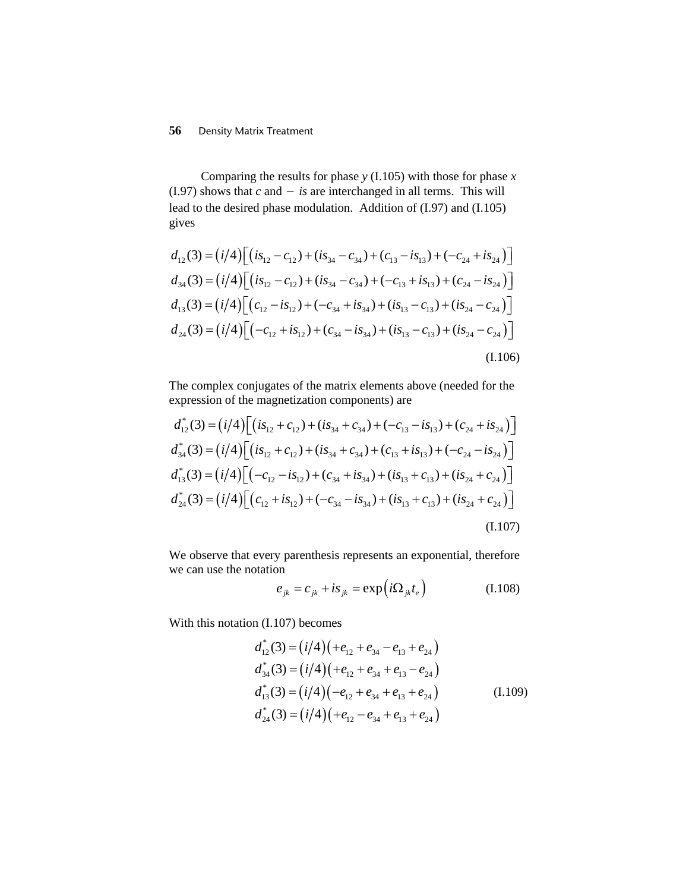Comparing the results for phase *y* (I.105) with those for phase *x* (I.97) shows that  $c$  and  $-$  *is* are interchanged in all terms. This will lead to the desired phase modulation. Addition of (I.97) and (I.105) gives

$$
d_{12}(3) = (i/4) \Big[ (is_{12} - c_{12}) + (is_{34} - c_{34}) + (c_{13} - is_{13}) + (-c_{24} + is_{24}) \Big] \nd_{34}(3) = (i/4) \Big[ (is_{12} - c_{12}) + (is_{34} - c_{34}) + (-c_{13} + is_{13}) + (c_{24} - is_{24}) \Big] \nd_{13}(3) = (i/4) \Big[ (c_{12} - is_{12}) + (-c_{34} + is_{34}) + (is_{13} - c_{13}) + (is_{24} - c_{24}) \Big] \nd_{24}(3) = (i/4) \Big[ (-c_{12} + is_{12}) + (c_{34} - is_{34}) + (is_{13} - c_{13}) + (is_{24} - c_{24}) \Big]
$$
\n(1.106)

The complex conjugates of the matrix elements above (needed for the expression of the magnetization components) are

$$
d_{12}^*(3) = (i/4) \Big[ (is_{12} + c_{12}) + (is_{34} + c_{34}) + (-c_{13} - is_{13}) + (c_{24} + is_{24}) \Big] \n d_{34}^*(3) = (i/4) \Big[ (is_{12} + c_{12}) + (is_{34} + c_{34}) + (c_{13} + is_{13}) + (-c_{24} - is_{24}) \Big] \n d_{13}^*(3) = (i/4) \Big[ (-c_{12} - is_{12}) + (c_{34} + is_{34}) + (is_{13} + c_{13}) + (is_{24} + c_{24}) \Big] \n d_{24}^*(3) = (i/4) \Big[ (c_{12} + is_{12}) + (-c_{34} - is_{34}) + (is_{13} + c_{13}) + (is_{24} + c_{24}) \Big] \n (1.107)
$$

We observe that every parenthesis represents an exponential, therefore we can use the notation

$$
e_{jk} = c_{jk} + is_{jk} = \exp(i\Omega_{jk}t_e)
$$
 (I.108)

With this notation (I.107) becomes

$$
d_{12}^*(3) = (i/4)(+e_{12} + e_{34} - e_{13} + e_{24})
$$
  
\n
$$
d_{34}^*(3) = (i/4)(+e_{12} + e_{34} + e_{13} - e_{24})
$$
  
\n
$$
d_{13}^*(3) = (i/4)(-e_{12} + e_{34} + e_{13} + e_{24})
$$
  
\n
$$
d_{24}^*(3) = (i/4)(+e_{12} - e_{34} + e_{13} + e_{24})
$$
\n(1.109)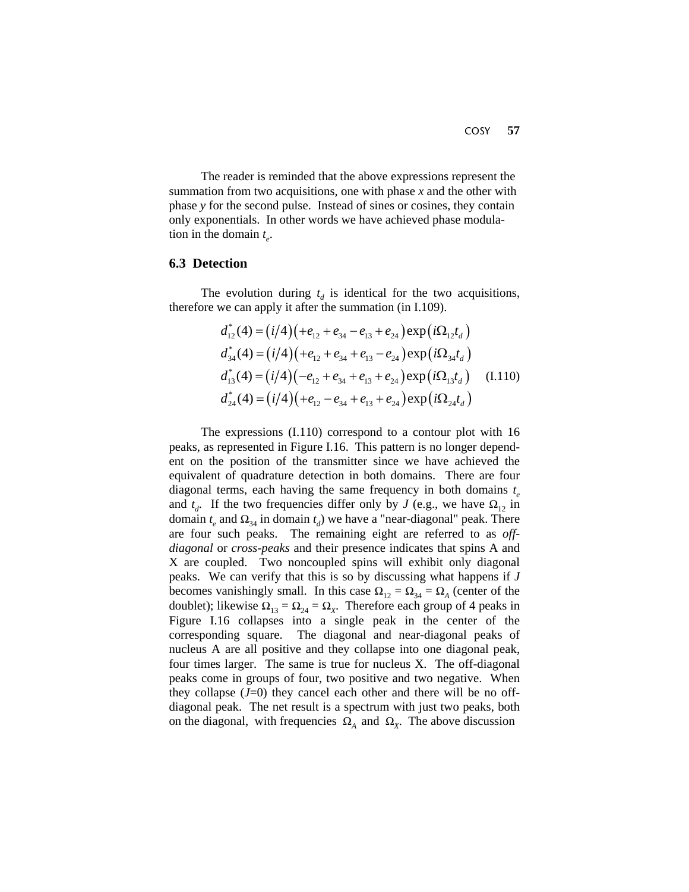The reader is reminded that the above expressions represent the summation from two acquisitions, one with phase *x* and the other with phase *y* for the second pulse. Instead of sines or cosines, they contain only exponentials. In other words we have achieved phase modulation in the domain  $t_e$ .

#### **6.3 Detection**

The evolution during  $t_d$  is identical for the two acquisitions, therefore we can apply it after the summation (in I.109).

$$
d_{12}^*(4) = (i/4)(+e_{12} + e_{34} - e_{13} + e_{24}) \exp(i\Omega_{12}t_d)
$$
  
\n
$$
d_{34}^*(4) = (i/4)(+e_{12} + e_{34} + e_{13} - e_{24}) \exp(i\Omega_{34}t_d)
$$
  
\n
$$
d_{13}^*(4) = (i/4)(-e_{12} + e_{34} + e_{13} + e_{24}) \exp(i\Omega_{13}t_d)
$$
 (I.110)  
\n
$$
d_{24}^*(4) = (i/4)(+e_{12} - e_{34} + e_{13} + e_{24}) \exp(i\Omega_{24}t_d)
$$

The expressions (I.110) correspond to a contour plot with 16 peaks, as represented in Figure I.16. This pattern is no longer dependent on the position of the transmitter since we have achieved the equivalent of quadrature detection in both domains. There are four diagonal terms, each having the same frequency in both domains *te* and  $t_d$ . If the two frequencies differ only by *J* (e.g., we have  $\Omega_{12}$  in domain  $t_e$  and  $\Omega_{34}$  in domain  $t_d$ ) we have a "near-diagonal" peak. There are four such peaks. The remaining eight are referred to as *offdiagonal* or *cross-peaks* and their presence indicates that spins A and X are coupled. Two noncoupled spins will exhibit only diagonal peaks. We can verify that this is so by discussing what happens if *J* becomes vanishingly small. In this case  $\Omega_{12} = \Omega_{34} = \Omega_A$  (center of the doublet); likewise  $\Omega_{13} = \Omega_{24} = \Omega_{X}$ . Therefore each group of 4 peaks in Figure I.16 collapses into a single peak in the center of the corresponding square. The diagonal and near-diagonal peaks of nucleus A are all positive and they collapse into one diagonal peak, four times larger. The same is true for nucleus X. The off-diagonal peaks come in groups of four, two positive and two negative. When they collapse  $(J=0)$  they cancel each other and there will be no offdiagonal peak. The net result is a spectrum with just two peaks, both on the diagonal, with frequencies  $\Omega_A$  and  $\Omega_X$ . The above discussion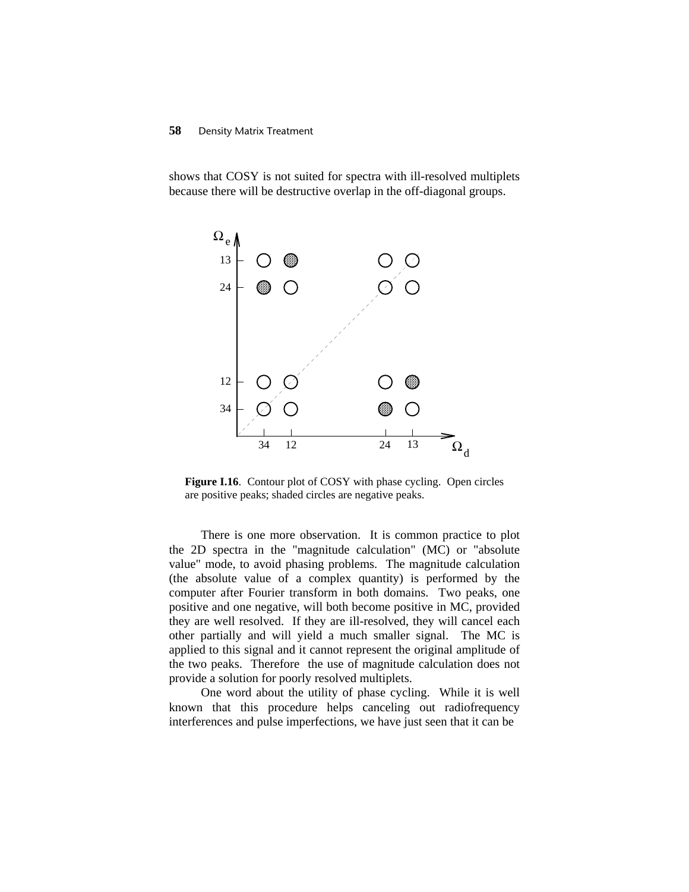shows that COSY is not suited for spectra with ill-resolved multiplets because there will be destructive overlap in the off-diagonal groups.



Figure I.16. Contour plot of COSY with phase cycling. Open circles are positive peaks; shaded circles are negative peaks.

There is one more observation. It is common practice to plot the 2D spectra in the "magnitude calculation" (MC) or "absolute value" mode, to avoid phasing problems. The magnitude calculation (the absolute value of a complex quantity) is performed by the computer after Fourier transform in both domains. Two peaks, one positive and one negative, will both become positive in MC, provided they are well resolved. If they are ill-resolved, they will cancel each other partially and will yield a much smaller signal. The MC is applied to this signal and it cannot represent the original amplitude of the two peaks. Therefore the use of magnitude calculation does not provide a solution for poorly resolved multiplets.

One word about the utility of phase cycling. While it is well known that this procedure helps canceling out radiofrequency interferences and pulse imperfections, we have just seen that it can be